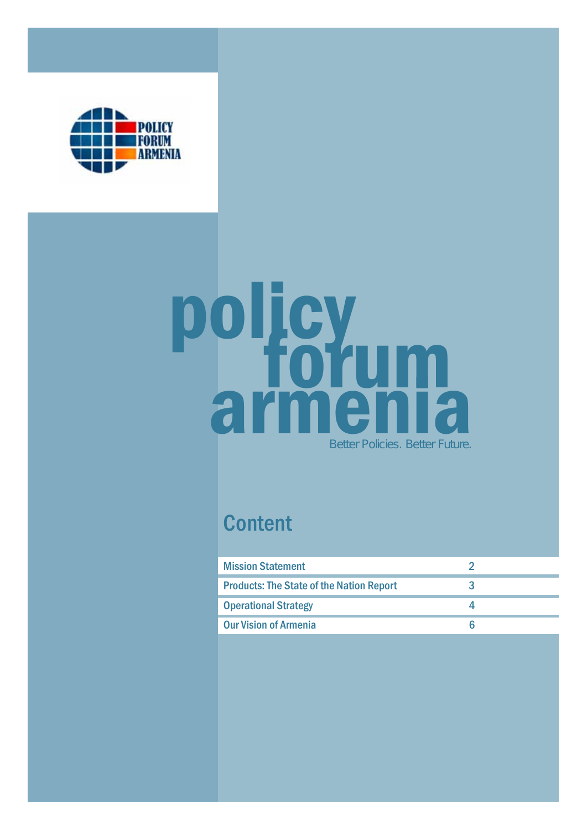

# policy<br>armenia Better Policies. Better Future.

# **Content**

| <b>Mission Statement</b>                        |  |
|-------------------------------------------------|--|
| <b>Products: The State of the Nation Report</b> |  |
| <b>Operational Strategy</b>                     |  |
| <b>Our Vision of Armenia</b>                    |  |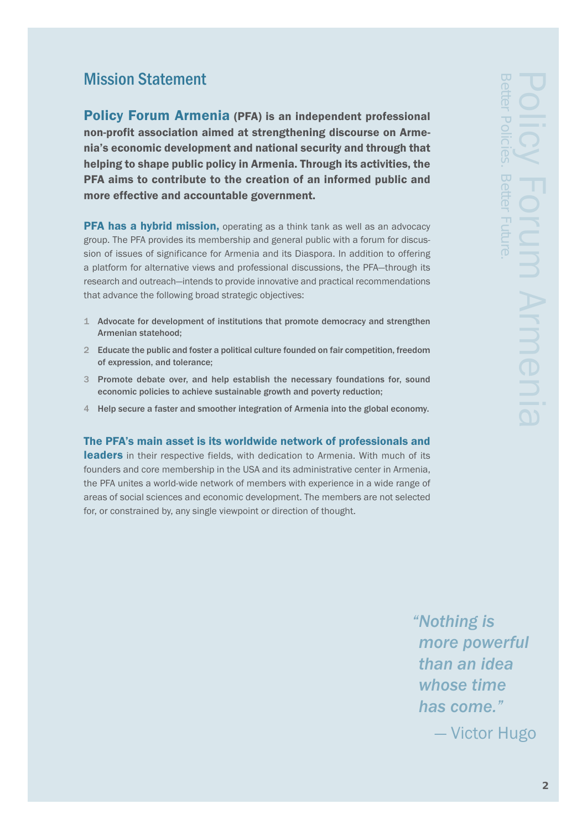# Mission Statement

Policy Forum Armenia (PFA) is an independent professional non-profit association aimed at strengthening discourse on Armenia's economic development and national security and through that helping to shape public policy in Armenia. Through its activities, the PFA aims to contribute to the creation of an informed public and more effective and accountable government.

**PFA has a hybrid mission,** operating as a think tank as well as an advocacy group. The PFA provides its membership and general public with a forum for discussion of issues of significance for Armenia and its Diaspora. In addition to offering a platform for alternative views and professional discussions, the PFA—through its research and outreach—intends to provide innovative and practical recommendations that advance the following broad strategic objectives:

- 1 Advocate for development of institutions that promote democracy and strengthen Armenian statehood;
- 2 Educate the public and foster a political culture founded on fair competition, freedom of expression, and tolerance;
- 3 Promote debate over, and help establish the necessary foundations for, sound economic policies to achieve sustainable growth and poverty reduction;
- 4 Help secure a faster and smoother integration of Armenia into the global economy.

The PFA's main asset is its worldwide network of professionals and

leaders in their respective fields, with dedication to Armenia. With much of its founders and core membership in the USA and its administrative center in Armenia, the PFA unites a world-wide network of members with experience in a wide range of areas of social sciences and economic development. The members are not selected for, or constrained by, any single viewpoint or direction of thought.

*"Nothing is more powerful than an idea whose time has come."*

— Victor Hugo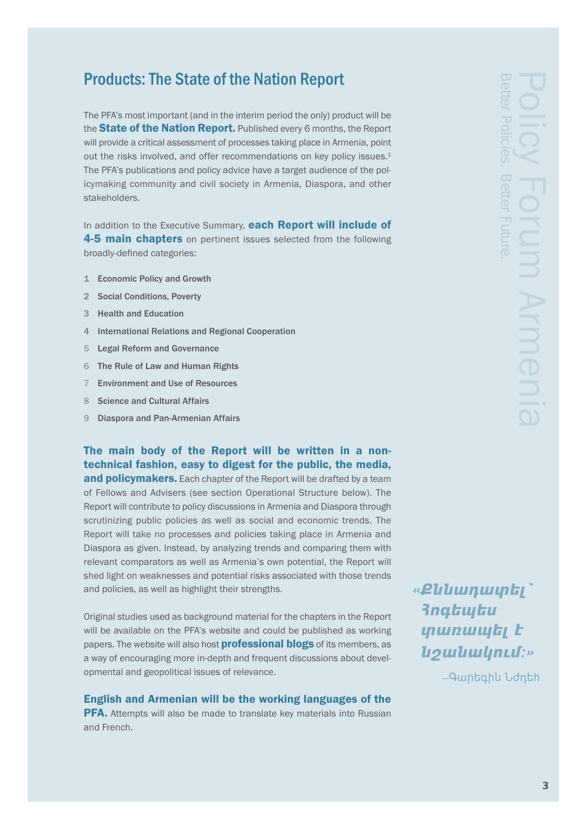# Products: The State of the Nation Report

The PFA's most important (and in the interim period the only) product will be the **State of the Nation Report.** Published every 6 months, the Report will provide a critical assessment of processes taking place in Armenia, point out the risks involved, and offer recommendations on key policy issues.<sup>1</sup> The PFA's publications and policy advice have a target audience of the policymaking community and civil society in Armenia, Diaspora, and other stakeholders.

In addition to the Executive Summary, each Report will include of 4-5 main chapters on pertinent issues selected from the following broadly-defined categories:

- 1 Economic Policy and Growth
- 2 Social Conditions, Poverty
- 3 Health and Education
- 4 International Relations and Regional Cooperation
- 5 Legal Reform and Governance
- 6 The Rule of Law and Human Rights
- 7 Environment and Use of Resources
- 8 Science and Cultural Affairs
- 9 Diaspora and Pan-Armenian Affairs

The main body of the Report will be written in a nontechnical fashion, easy to digest for the public, the media, and policymakers. Each chapter of the Report will be drafted by a team of Fellows and Advisers (see section Operational Structure below). The Report will contribute to policy discussions in Armenia and Diaspora through scrutinizing public policies as well as social and economic trends. The Report will take no processes and policies taking place in Armenia and Diaspora as given. Instead, by analyzing trends and comparing them with relevant comparators as well as Armenia's own potential, the Report will shed light on weaknesses and potential risks associated with those trends and policies, as well as highlight their strengths.

Original studies used as background material for the chapters in the Report will be available on the PFA's website and could be published as working papers. The website will also host **professional blogs** of its members, as a way of encouraging more in-depth and frequent discussions about developmental and geopolitical issues of relevance.

### English and Armenian will be the working languages of the

**PFA.** Attempts will also be made to translate key materials into Russian and French.

«**Pliliunuinti 3ngtuytu** unuuud tr ´≠Å´Åù·ıß:Ø

- Awntahl Udnth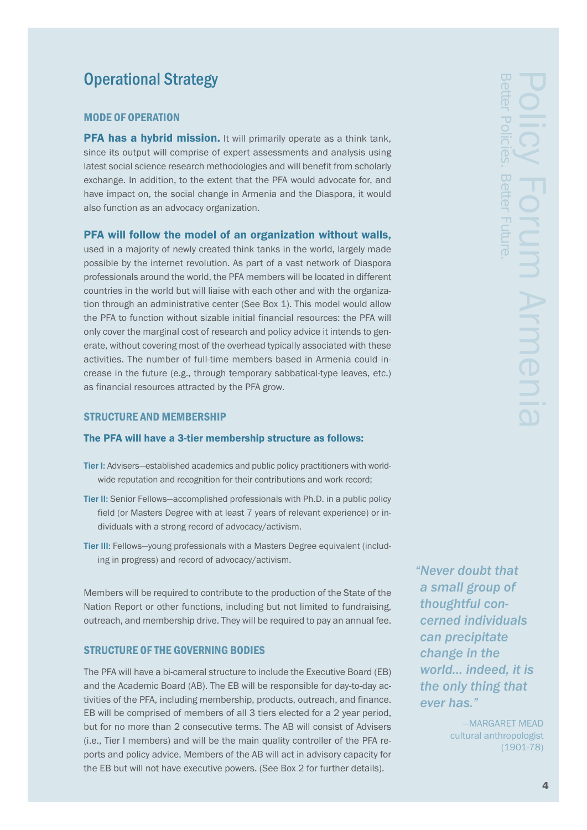# Operational Strategy

### MODE OF OPERATION

**PFA has a hybrid mission.** It will primarily operate as a think tank, since its output will comprise of expert assessments and analysis using latest social science research methodologies and will benefit from scholarly exchange. In addition, to the extent that the PFA would advocate for, and have impact on, the social change in Armenia and the Diaspora, it would also function as an advocacy organization.

### PFA will follow the model of an organization without walls,

used in a majority of newly created think tanks in the world, largely made possible by the internet revolution. As part of a vast network of Diaspora professionals around the world, the PFA members will be located in different countries in the world but will liaise with each other and with the organization through an administrative center (See Box 1). This model would allow the PFA to function without sizable initial financial resources: the PFA will only cover the marginal cost of research and policy advice it intends to generate, without covering most of the overhead typically associated with these activities. The number of full-time members based in Armenia could increase in the future (e.g., through temporary sabbatical-type leaves, etc.) as financial resources attracted by the PFA grow.

### STRUCTURE AND MEMBERSHIP

### The PFA will have a 3-tier membership structure as follows:

- Tier I: Advisers—established academics and public policy practitioners with worldwide reputation and recognition for their contributions and work record;
- Tier II: Senior Fellows—accomplished professionals with Ph.D. in a public policy field (or Masters Degree with at least 7 years of relevant experience) or individuals with a strong record of advocacy/activism.
- Tier III: Fellows—young professionals with a Masters Degree equivalent (including in progress) and record of advocacy/activism.

Members will be required to contribute to the production of the State of the Nation Report or other functions, including but not limited to fundraising, outreach, and membership drive. They will be required to pay an annual fee.

### STRUCTURE OF THE GOVERNING BODIES

The PFA will have a bi-cameral structure to include the Executive Board (EB) and the Academic Board (AB). The EB will be responsible for day-to-day activities of the PFA, including membership, products, outreach, and finance. EB will be comprised of members of all 3 tiers elected for a 2 year period, but for no more than 2 consecutive terms. The AB will consist of Advisers (i.e., Tier I members) and will be the main quality controller of the PFA reports and policy advice. Members of the AB will act in advisory capacity for the EB but will not have executive powers. (See Box 2 for further details).

*"Never doubt that a small group of thoughtful concerned individuals can precipitate change in the world... indeed, it is the only thing that ever has."*

> —MARGARET MEAD cultural anthropologist (1901-78)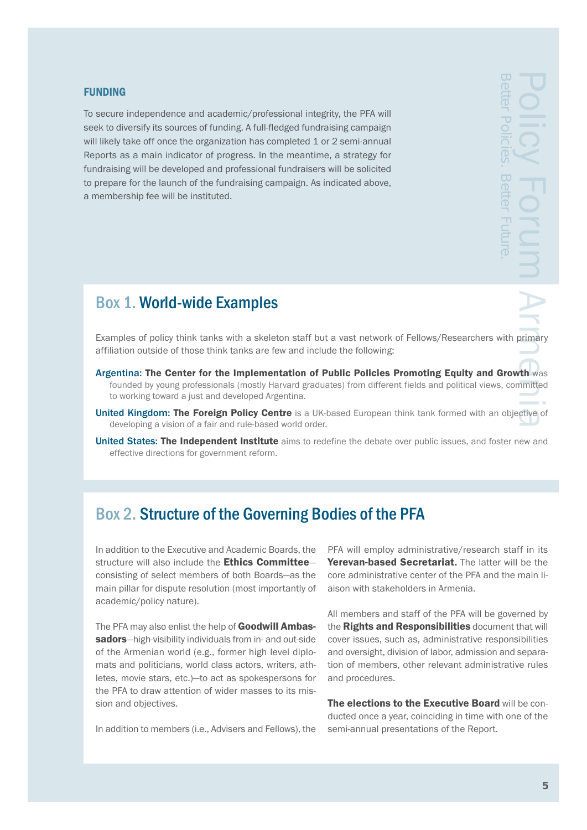### FUNDING

To secure independence and academic/professional integrity, the PFA will seek to diversify its sources of funding. A full-fledged fundraising campaign will likely take off once the organization has completed 1 or 2 semi-annual Reports as a main indicator of progress. In the meantime, a strategy for fundraising will be developed and professional fundraisers will be solicited to prepare for the launch of the fundraising campaign. As indicated above, a membership fee will be instituted.

# Box 1. World-wide Examples

Policy Forum Arms Armeniae Contractive of the Magnetic Contractive of the Contraction of the Contraction of the Contraction of the Contraction of the Contraction of the Contraction of the Contraction of the Contraction of

Examples of policy think tanks with a skeleton staff but a vast network of Fellows/Researchers with primary affiliation outside of those think tanks are few and include the following:

- Argentina: The Center for the Implementation of Public Policies Promoting Equity and Growth was founded by young professionals (mostly Harvard graduates) from different fields and political views, committed to working toward a just and developed Argentina.
- United Kingdom: The Foreign Policy Centre is a UK-based European think tank formed with an objective of developing a vision of a fair and rule-based world order.
- United States: The Independent Institute aims to redefine the debate over public issues, and foster new and effective directions for government reform.

## Box 2. Structure of the Governing Bodies of the PFA

In addition to the Executive and Academic Boards, the structure will also include the Ethics Committeeconsisting of select members of both Boards—as the main pillar for dispute resolution (most importantly of academic/policy nature).

The PFA may also enlist the help of **Goodwill Ambas**sadors—high-visibility individuals from in- and out-side of the Armenian world (e.g., former high level diplomats and politicians, world class actors, writers, athletes, movie stars, etc.)—to act as spokespersons for the PFA to draw attention of wider masses to its mission and objectives.

In addition to members (i.e., Advisers and Fellows), the

PFA will employ administrative/research staff in its Yerevan-based Secretariat. The latter will be the core administrative center of the PFA and the main liaison with stakeholders in Armenia.

All members and staff of the PFA will be governed by the Rights and Responsibilities document that will cover issues, such as, administrative responsibilities and oversight, division of labor, admission and separation of members, other relevant administrative rules and procedures.

The elections to the Executive Board will be conducted once a year, coinciding in time with one of the semi-annual presentations of the Report.